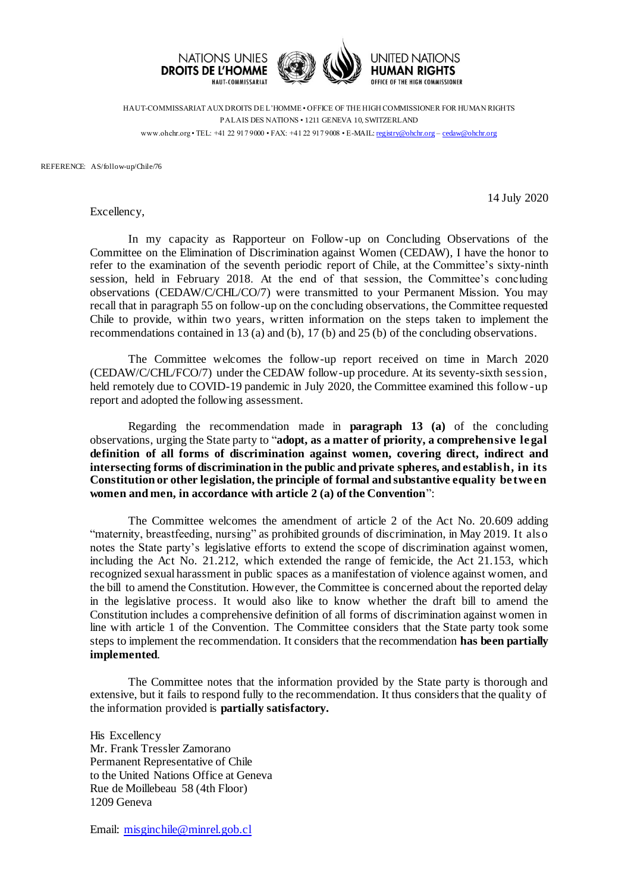

HAUT-COMMISSARIAT AUX DROITS DE L'HOMME • OFFICE OF THE HIGH COMMISSIONER FOR HUMAN RIGHTS PALAIS DES NATIONS • 1211 GENEVA 10, SWITZERLAND www.ohchr.org • TEL: +41 22 917 9000 • FAX: +41 22 917 9008 • E-MAIL: [registry@ohchr.org](mailto:registry@ohchr.org) – [cedaw@ohchr.org](mailto:cedaw@ohchr.org)

REFERENCE: AS/follow-up/Chile/76

Excellency,

14 July 2020

In my capacity as Rapporteur on Follow-up on Concluding Observations of the Committee on the Elimination of Discrimination against Women (CEDAW), I have the honor to refer to the examination of the seventh periodic report of Chile, at the Committee's sixty-ninth session, held in February 2018. At the end of that session, the Committee's concluding observations (CEDAW/C/CHL/CO/7) were transmitted to your Permanent Mission. You may recall that in paragraph 55 on follow-up on the concluding observations, the Committee requested Chile to provide, within two years, written information on the steps taken to implement the recommendations contained in 13 (a) and (b), 17 (b) and 25 (b) of the concluding observations.

The Committee welcomes the follow-up report received on time in March 2020 (CEDAW/C/CHL/FCO/7) under the CEDAW follow-up procedure. At its seventy-sixth session, held remotely due to COVID-19 pandemic in July 2020, the Committee examined this follow-up report and adopted the following assessment.

Regarding the recommendation made in **paragraph 13 (a)** of the concluding observations, urging the State party to "**adopt, as a matter of priority, a comprehensive le gal definition of all forms of discrimination against women, covering direct, indirect and intersecting forms of discrimination in the public and private spheres, and establish, in its Constitution or other legislation, the principle of formal and substantive equality be twe en women and men, in accordance with article 2 (a) of the Convention**":

The Committee welcomes the amendment of article 2 of the Act No. 20.609 adding "maternity, breastfeeding, nursing" as prohibited grounds of discrimination, in May 2019. It also notes the State party's legislative efforts to extend the scope of discrimination against women, including the Act No. 21.212, which extended the range of femicide, the Act 21.153, which recognized sexual harassment in public spaces as a manifestation of violence against women, and the bill to amend the Constitution. However, the Committee is concerned about the reported delay in the legislative process. It would also like to know whether the draft bill to amend the Constitution includes a comprehensive definition of all forms of discrimination against women in line with article 1 of the Convention. The Committee considers that the State party took some steps to implement the recommendation. It considers that the recommendation **has been partially implemented**.

The Committee notes that the information provided by the State party is thorough and extensive, but it fails to respond fully to the recommendation. It thus considers that the quality of the information provided is **partially satisfactory.**

His Excellency Mr. Frank Tressler Zamorano Permanent Representative of Chile to the United Nations Office at Geneva Rue de Moillebeau 58 (4th Floor) 1209 Geneva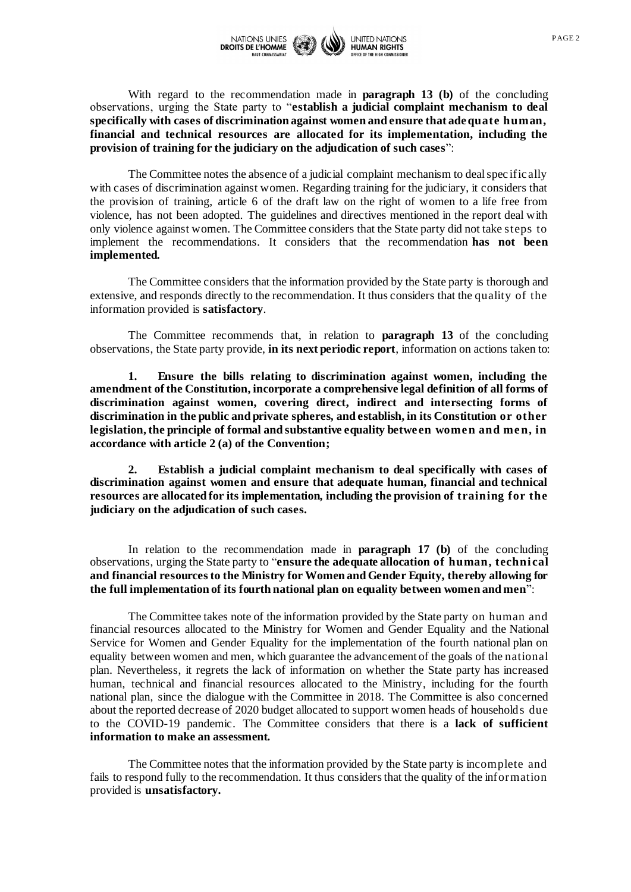

With regard to the recommendation made in **paragraph 13 (b)** of the concluding observations, urging the State party to "**establish a judicial complaint mechanism to deal specifically with cases of discrimination against women and ensure that ade quate human, financial and technical resources are allocated for its implementation, including the provision of training for the judiciary on the adjudication of such cases**":

The Committee notes the absence of a judicial complaint mechanism to deal spec ific ally with cases of discrimination against women. Regarding training for the judiciary, it considers that the provision of training, article 6 of the draft law on the right of women to a life free from violence, has not been adopted. The guidelines and directives mentioned in the report deal with only violence against women. The Committee considers that the State party did not take steps to implement the recommendations. It considers that the recommendation **has not been implemented.**

The Committee considers that the information provided by the State party is thorough and extensive, and responds directly to the recommendation. It thus considers that the quality of the information provided is **satisfactory**.

The Committee recommends that, in relation to **paragraph 13** of the concluding observations, the State party provide, **in its next periodic report**, information on actions taken to:

**1. Ensure the bills relating to discrimination against women, including the amendment of the Constitution, incorporate a comprehensive legal definition of all forms of discrimination against women, covering direct, indirect and intersecting forms of discrimination in the public and private spheres, and establish, in its Constitution or other**  legislation, the principle of formal and substantive equality between women and men, in **accordance with article 2 (a) of the Convention;**

**2. Establish a judicial complaint mechanism to deal specifically with cases of discrimination against women and ensure that adequate human, financial and technical resources are allocated for its implementation, including the provision of training for the judiciary on the adjudication of such cases.**

In relation to the recommendation made in **paragraph 17 (b)** of the concluding observations, urging the State party to "**ensure the adequate allocation of human, techni cal and financial resources to the Ministry for Women and Gender Equity, thereby allowing for the full implementation of its fourth national plan on equality between women and men**":

The Committee takes note of the information provided by the State party on human and financial resources allocated to the Ministry for Women and Gender Equality and the National Service for Women and Gender Equality for the implementation of the fourth national plan on equality between women and men, which guarantee the advancement of the goals of the national plan. Nevertheless, it regrets the lack of information on whether the State party has increased human, technical and financial resources allocated to the Ministry, including for the fourth national plan, since the dialogue with the Committee in 2018. The Committee is also concerned about the reported decrease of 2020 budget allocated to support women heads of households due to the COVID-19 pandemic. The Committee considers that there is a **lack of sufficient information to make an assessment.**

The Committee notes that the information provided by the State party is incomplete and fails to respond fully to the recommendation. It thus considers that the quality of the information provided is **unsatisfactory.**